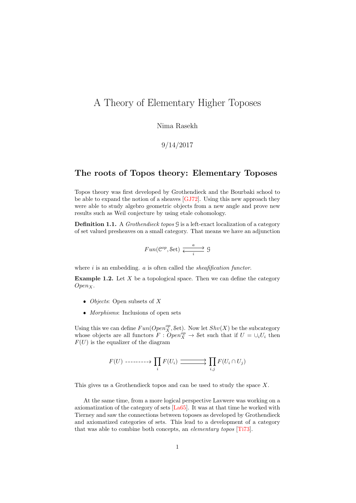# A Theory of Elementary Higher Toposes

Nima Rasekh

9/14/2017

## The roots of Topos theory: Elementary Toposes

Topos theory was first developed by Grothendieck and the Bourbaki school to be able to expand the notion of a sheaves [\[GJ72\]](#page-8-0). Using this new approach they were able to study algebro geometric objects from a new angle and prove new results such as Weil conjecture by using etale cohomology.

**Definition 1.1.** A *Grothendieck topos*  $\mathcal{G}$  is a left-exact localization of a category of set valued presheaves on a small category. That means we have an adjunction

$$
Fun(\mathcal{C}^{op}, \mathcal{S}et) \xrightarrow{i} \mathcal{G}
$$

where  $i$  is an embedding.  $a$  is often called the *sheafification functor*.

**Example 1.2.** Let  $X$  be a topological space. Then we can define the category  $Open<sub>X</sub>$ .

- $\bullet$  *Objects*: Open subsets of X
- Morphisms: Inclusions of open sets

Using this we can define  $Fun(Open_X^{op}, \mathcal{S}\mathrm{et})$ . Now let  $Shv(X)$  be the subcategory whose objects are all functors  $F: Open_{X}^{op} \to \mathcal{S}et$  such that if  $U = \cup_i U_i$  then  $F(U)$  is the equalizer of the diagram

$$
F(U) \n\begin{array}{c}\n- \cdots - \cdots \rightarrow \prod_i F(U_i) \longrightarrow \prod_{i,j} F(U_i \cap U_j)\n\end{array}
$$

This gives us a Grothendieck topos and can be used to study the space X.

At the same time, from a more logical perspective Lavwere was working on a axiomatization of the category of sets [\[La65\]](#page-8-1). It was at that time he worked with Tierney and saw the connections between toposes as developed by Grothendieck and axiomatized categories of sets. This lead to a development of a category that was able to combine both concepts, an elementary topos [\[Ti73\]](#page-9-0).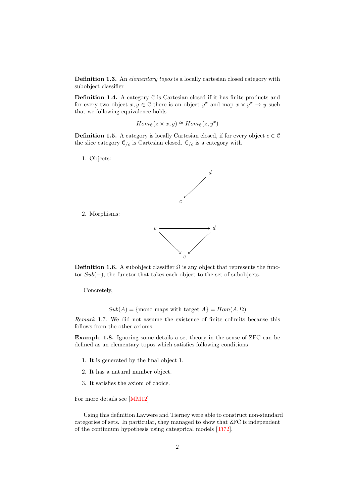Definition 1.3. An *elementary topos* is a locally cartesian closed category with subobject classifier

Definition 1.4. A category  $C$  is Cartesian closed if it has finite products and for every two object  $x, y \in \mathcal{C}$  there is an object  $y^x$  and map  $x \times y^x \to y$  such that we following equivalence holds

$$
Hom_{\mathcal{C}}(z \times x, y) \cong Hom_{\mathcal{C}}(z, y^x)
$$

**Definition 1.5.** A category is locally Cartesian closed, if for every object  $c \in \mathcal{C}$ the slice category  $\mathcal{C}_{/c}$  is Cartesian closed.  $\mathcal{C}_{/c}$  is a category with

1. Objects:

2. Morphisms:



**Definition 1.6.** A subobject classifier  $\Omega$  is any object that represents the functor Sub(−), the functor that takes each object to the set of subobjects.

Concretely,

 $Sub(A) = \{$ mono maps with target  $A\} = Hom(A, \Omega)$ 

Remark 1.7. We did not assume the existence of finite colimits because this follows from the other axioms.

Example 1.8. Ignoring some details a set theory in the sense of ZFC can be defined as an elementary topos which satisfies following conditions

- 1. It is generated by the final object 1.
- 2. It has a natural number object.
- 3. It satisfies the axiom of choice.

For more details see [\[MM12\]](#page-8-2)

Using this definition Lavwere and Tierney were able to construct non-standard categories of sets. In particular, they managed to show that ZFC is independent of the continuum hypothesis using categorical models [\[Ti72\]](#page-9-1).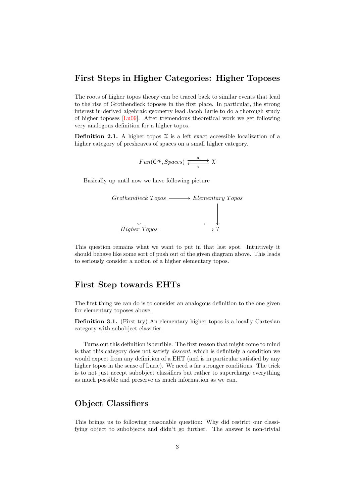## First Steps in Higher Categories: Higher Toposes

The roots of higher topos theory can be traced back to similar events that lead to the rise of Grothendieck toposes in the first place. In particular, the strong interest in derived algebraic geometry lead Jacob Lurie to do a thorough study of higher toposes [\[Lu09\]](#page-8-3). After tremendous theoretical work we get following very analogous definition for a higher topos.

**Definition 2.1.** A higher topos  $X$  is a left exact accessible localization of a higher category of presheaves of spaces on a small higher category.

$$
Fun(\mathcal{C}^{op}, Spaces) \xleftarrow{i} \xrightarrow{i} \mathfrak{X}
$$

Basically up until now we have following picture



This question remains what we want to put in that last spot. Intuitively it should behave like some sort of push out of the given diagram above. This leads to seriously consider a notion of a higher elementary topos.

### First Step towards EHTs

The first thing we can do is to consider an analogous definition to the one given for elementary toposes above.

**Definition 3.1.** (First try) An elementary higher topos is a locally Cartesian category with subobject classifier.

Turns out this definition is terrible. The first reason that might come to mind is that this category does not satisfy descent, which is definitely a condition we would expect from any definition of a EHT (and is in particular satisfied by any higher topos in the sense of Lurie). We need a far stronger conditions. The trick is to not just accept subobject classifiers but rather to supercharge everything as much possible and preserve as much information as we can.

## Object Classifiers

This brings us to following reasonable question: Why did restrict our classifying object to subobjects and didn't go further. The answer is non-trivial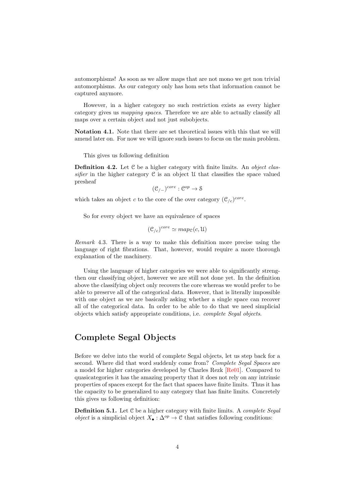automorphisms! As soon as we allow maps that are not mono we get non trivial automorphisms. As our category only has hom sets that information cannot be captured anymore.

However, in a higher category no such restriction exists as every higher category gives us mapping spaces. Therefore we are able to actually classify all maps over a certain object and not just subobjects.

Notation 4.1. Note that there are set theoretical issues with this that we will amend later on. For now we will ignore such issues to focus on the main problem.

This gives us following definition

**Definition 4.2.** Let  $C$  be a higher category with finite limits. An *object clas*sifier in the higher category  $C$  is an object  $U$  that classifies the space valued presheaf

$$
(\mathcal{C}_{/-})^{core}:\mathcal{C}^{op}\to \mathcal{S}
$$

which takes an object c to the core of the over category  $(\mathcal{C}_{/c})^{core}$ .

So for every object we have an equivalence of spaces

$$
(\mathcal{C}_{/c})^{core} \simeq map_{\mathcal{C}}(c,\mathfrak{U})
$$

Remark 4.3. There is a way to make this definition more precise using the language of right fibrations. That, however, would require a more thorough explanation of the machinery.

Using the language of higher categories we were able to significantly strengthen our classifying object, however we are still not done yet. In the definition above the classifying object only recovers the core whereas we would prefer to be able to preserve all of the categorical data. However, that is literally impossible with one object as we are basically asking whether a single space can recover all of the categorical data. In order to be able to do that we need simplicial objects which satisfy appropriate conditions, i.e. complete Segal objects.

## Complete Segal Objects

Before we delve into the world of complete Segal objects, let us step back for a second. Where did that word suddenly come from? Complete Segal Spaces are a model for higher categories developed by Charles Rezk [\[Re01\]](#page-9-2). Compared to quasicategories it has the amazing property that it does not rely on any intrinsic properties of spaces except for the fact that spaces have finite limits. Thus it has the capacity to be generalized to any category that has finite limits. Concretely this gives us following definition:

**Definition 5.1.** Let  $C$  be a higher category with finite limits. A *complete Segal object* is a simplicial object  $X_{\bullet}: \Delta^{op} \to \mathcal{C}$  that satisfies following conditions: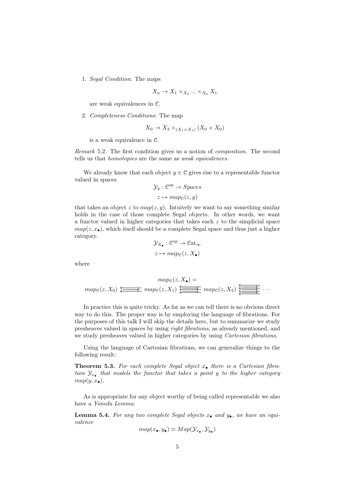1. Segal Condition: The maps

$$
X_n \to X_1 \times_{X_0} \dots \times_{X_0} X_1
$$

are weak equivalences in C.

2. Completeness Conditions: The map

$$
X_0 \to X_3 \times_{(X_1 \times X_1)} (X_0 \times X_0)
$$

is a weak equivalence in C.

Remark 5.2. The first condition gives us a notion of composition. The second tells us that homotopies are the same as weak equivalences.

We already know that each object  $y \in \mathcal{C}$  gives rise to a representable functor valued in spaces

$$
\mathcal{Y}_y : \mathcal{C}^{op} \to Spaces
$$

$$
z \mapsto map_{\mathcal{C}}(z, y)
$$

that takes an object z to  $map(z, y)$ . Intuively we want to say something similar holds in the case of those complete Segal objects. In other words, we want a functor valued in higher categories that takes each  $z$  to the simplicial space  $map(z, x_{\bullet})$ , which itself should be a complete Segal space and thus just a higher category.

$$
\mathcal{Y}_{X_{\bullet}} : \mathcal{C}^{op} \to \mathcal{C}at_{\infty}
$$

$$
z \mapsto map_{\mathcal{C}}(z, X_{\bullet})
$$

where

mapC(z, X•) = mapC(z, X0) mapC(z, X1) mapC(z, X2) · · ·

In practice this is quite tricky. As far as we can tell there is no obvious direct way to do this. The proper way is by employing the language of fibrations. For the purposes of this talk I will skip the details here, but to summarize we study presheaves valued in spaces by using right fibrations, as already mentioned, and we study presheaves valued in higher categories by using Cartesian fibrations.

Using the language of Cartesian fibrations, we can generalize things to the following result:

**Theorem 5.3.** For each complete Segal object  $x_{\bullet}$  there is a Cartesian fibration  $\mathcal{Y}_{x_{\bullet}}$  that models the functor that takes a point y to the higher category  $map(y, x_{\bullet}).$ 

As is appropriate for any object worthy of being called representable we also have a Yoneda Lemma:

**Lemma 5.4.** For any two complete Segal objects  $x_{\bullet}$  and  $y_{\bullet}$ , we have an equivalence

$$
map(x_{\bullet}, y_{\bullet}) \simeq Map(\mathcal{Y}_{x_{\bullet}}, \mathcal{Y}_{y_{\bullet}})
$$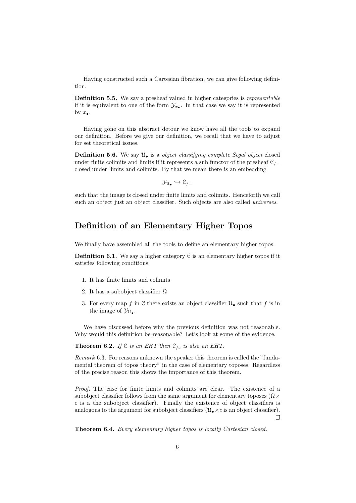Having constructed such a Cartesian fibration, we can give following definition.

Definition 5.5. We say a presheaf valued in higher categories is representable if it is equivalent to one of the form  $\mathcal{Y}_{x_{\bullet}}$ . In that case we say it is represented by  $x_{\bullet}$ .

Having gone on this abstract detour we know have all the tools to expand our definition. Before we give our definition, we recall that we have to adjust for set theoretical issues.

**Definition 5.6.** We say  $\mathcal{U}_{\bullet}$  is a *object classifying complete Segal object* closed under finite colimits and limits if it represents a sub functor of the presheaf  $\mathcal{C}_{/-}$ closed under limits and colimits. By that we mean there is an embedding

$$
\mathcal{Y}_{\mathfrak{U}_\bullet}\hookrightarrow \mathfrak{C}_{/-}
$$

such that the image is closed under finite limits and colimits. Henceforth we call such an object just an object classifier. Such objects are also called universes.

## Definition of an Elementary Higher Topos

We finally have assembled all the tools to define an elementary higher topos.

**Definition 6.1.** We say a higher category  $C$  is an elementary higher topos if it satisfies following conditions:

- 1. It has finite limits and colimits
- 2. It has a subobject classifier  $\Omega$
- 3. For every map f in C there exists an object classifier  $\mathfrak{U}_{\bullet}$  such that f is in the image of  $\mathcal{Y}_{\mathcal{U}_{\bullet}}$ .

We have discussed before why the previous definition was not reasonable. Why would this definition be reasonable? Let's look at some of the evidence.

**Theorem 6.2.** If  $C$  is an EHT then  $C_{/c}$  is also an EHT.

Remark 6.3. For reasons unknown the speaker this theorem is called the "fundamental theorem of topos theory" in the case of elementary toposes. Regardless of the precise reason this shows the importance of this theorem.

Proof. The case for finite limits and colimits are clear. The existence of a subobject classifier follows from the same argument for elementary toposes ( $\Omega \times$  $c$  is a the subobject classifier). Finally the existence of object classifiers is analogous to the argument for subobject classifiers  $(\mathcal{U}_{\bullet} \times c$  is an object classifier). П

Theorem 6.4. Every elementary higher topos is locally Cartesian closed.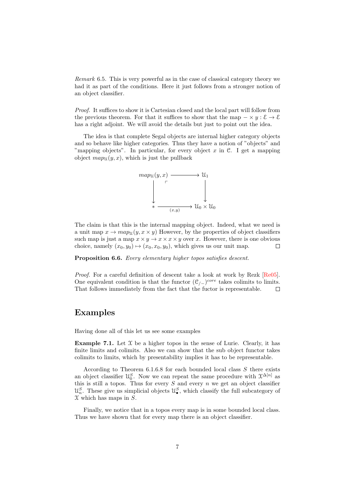Remark 6.5. This is very powerful as in the case of classical category theory we had it as part of the conditions. Here it just follows from a stronger notion of an object classifier.

Proof. It suffices to show it is Cartesian closed and the local part will follow from the previous theorem. For that it suffices to show that the map  $-\times y : \mathcal{E} \to \mathcal{E}$ has a right adjoint. We will avoid the details but just to point out the idea.

The idea is that complete Segal objects are internal higher category objects and so behave like higher categories. Thus they have a notion of "objects" and "mapping objects". In particular, for every object  $x$  in  $\mathcal{C}$ . I get a mapping object  $map_{\mathfrak{U}}(y,x)$ , which is just the pullback



The claim is that this is the internal mapping object. Indeed, what we need is a unit map  $x \to map_{\mathcal{U}}(y, x \times y)$  However, by the properties of object classifiers such map is just a map  $x \times y \to x \times x \times y$  over x. However, there is one obvious choice, namely  $(x_0, y_0) \mapsto (x_0, x_0, y_0)$ , which gives us our unit map.  $\Box$ 

Proposition 6.6. Every elementary higher topos satisfies descent.

Proof. For a careful definition of descent take a look at work by Rezk [\[Re05\]](#page-9-3). One equivalent condition is that the functor  $(\mathcal{C}_{/-})^{core}$  takes colimits to limits. That follows immediately from the fact that the fuctor is representable.  $\Box$ 

## Examples

Having done all of this let us see some examples

**Example 7.1.** Let  $X$  be a higher topos in the sense of Lurie. Clearly, it has finite limits and colimits. Also we can show that the sub object functor takes colimits to limits, which by presentability implies it has to be representable.

According to Theorem  $6.1.6.8$  for each bounded local class  $S$  there exists an object classifier  $\mathcal{U}_0^S$ . Now we can repeat the same procedure with  $\mathcal{X}^{\Delta[n]}$  as this is still a topos. Thus for every  $S$  and every  $n$  we get an object classifier  $\mathcal{U}_n^S$ . These give us simplicial objects  $\mathcal{U}_\bullet^S$ , which classify the full subcategory of  $\mathfrak X$  which has maps in  $S$ .

Finally, we notice that in a topos every map is in some bounded local class. Thus we have shown that for every map there is an object classifier.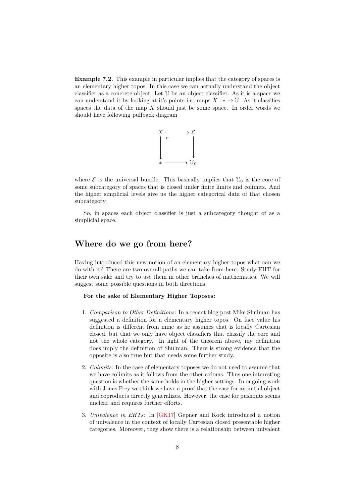Example 7.2. This example in particular implies that the category of spaces is an elementary higher topos. In this case we can actually understand the object classifier as a concrete object. Let U be an object classifier. As it is a space we can understand it by looking at it's points i.e. maps  $X : * \to U$ . As it classifies spaces the data of the map  $X$  should just be some space. In order words we should have following pullback diagram



where  $\mathcal E$  is the universal bundle. This basically implies that  $\mathfrak{U}_0$  is the core of some subcategory of spaces that is closed under finite limits and colimits. And the higher simplicial levels give us the higher categorical data of that chosen subcategory.

So, in spaces each object classifier is just a subcategory thought of as a simplicial space.

## Where do we go from here?

Having introduced this new notion of an elementary higher topos what can we do with it? There are two overall paths we can take from here. Study EHT for their own sake and try to use them in other branches of mathematics. We will suggest some possible questions in both directions.

#### For the sake of Elementary Higher Toposes:

- 1. Comparison to Other Definitions: In a recent blog post Mike Shulman has suggested a definition for a elementary higher topos. On face value his definition is different from mine as he assumes that is locally Cartesian closed, but that we only have object classifiers that classify the core and not the whole category. In light of the theorem above, my definition does imply the definition of Shulman. There is strong evidence that the opposite is also true but that needs some further study.
- 2. Colimits: In the case of elementary toposes we do not need to assume that we have colimits as it follows from the other axioms. Thus one interesting question is whether the same holds in the higher settings. In ongoing work with Jonas Frey we think we have a proof that the case for an initial object and coproducts directly generalizes. However, the case for pushouts seems unclear and requires further efforts.
- 3. Univalence in EHTs: In [\[GK17\]](#page-8-4) Gepner and Kock introduced a notion of univalence in the context of locally Cartesian closed presentable higher categories. Moreover, they show there is a relationship between univalent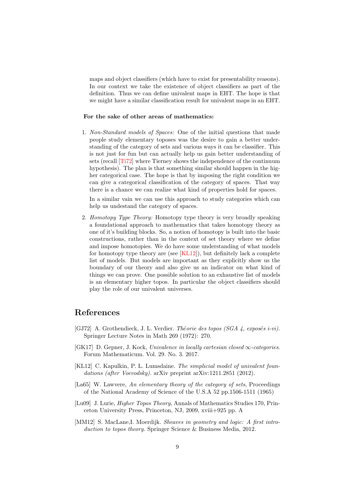maps and object classifiers (which have to exist for presentability reasons). In our context we take the existence of object classifiers as part of the definition. Thus we can define univalent maps in EHT. The hope is that we might have a similar classification result for univalent maps in an EHT.

#### For the sake of other areas of mathematics:

1. Non-Standard models of Spaces: One of the initial questions that made people study elementary toposes was the desire to gain a better understanding of the category of sets and various ways it can be classifier. This is not just for fun but can actually help us gain better understanding of sets (recall [\[Ti72\]](#page-9-1) where Tierney shows the independence of the continuum hypothesis). The plan is that something similar should happen in the higher categorical case. The hope is that by imposing the right condition we can give a categorical classification of the category of spaces. That way there is a chance we can realize what kind of properties hold for spaces.

In a similar vain we can use this approach to study categories which can help us undestand the category of spaces.

2. Homotopy Type Theory: Homotopy type theory is very broadly speaking a foundational approach to mathematics that takes homotopy theory as one of it's building blocks. So, a notion of homotopy is built into the basic constructions, rather than in the context of set theory where we define and impose homotopies. We do have some understanding of what models for homotopy type theory are (see [\[KL12\]](#page-8-5)), but definitely lack a complete list of models. But models are important as they explicitly show us the boundary of our theory and also give us an indicator on what kind of things we can prove. One possible solution to an exhaustive list of models is an elementary higher topos. In particular the object classifiers should play the role of our univalent universes.

## References

- <span id="page-8-0"></span>[GJ72] A. Grothendieck, J. L. Verdier. Théorie des topos (SGA 4, exposés i-vi). Springer Lecture Notes in Math 269 (1972): 270.
- <span id="page-8-4"></span>[GK17] D. Gepner, J. Kock, Univalence in locally cartesian closed  $\infty$ -categories. Forum Mathematicum. Vol. 29. No. 3. 2017.
- <span id="page-8-5"></span>[KL12] C. Kapulkin, P. L. Lumsdaine. The simplicial model of univalent foundations (after Voevodsky). arXiv preprint arXiv:1211.2851 (2012).
- <span id="page-8-1"></span>[La65] W. Lawvere, An elementary theory of the category of sets, Proceedings of the National Academy of Science of the U.S.A 52 pp.1506-1511 (1965)
- <span id="page-8-3"></span>[Lu09] J. Lurie, Higher Topos Theory, Annals of Mathematics Studies 170, Princeton University Press, Princeton, NJ, 2009, xviii+925 pp. A
- <span id="page-8-2"></span>[MM12] S. MacLane,I. Moerdijk. Sheaves in geometry and logic: A first introduction to topos theory. Springer Science & Business Media, 2012.